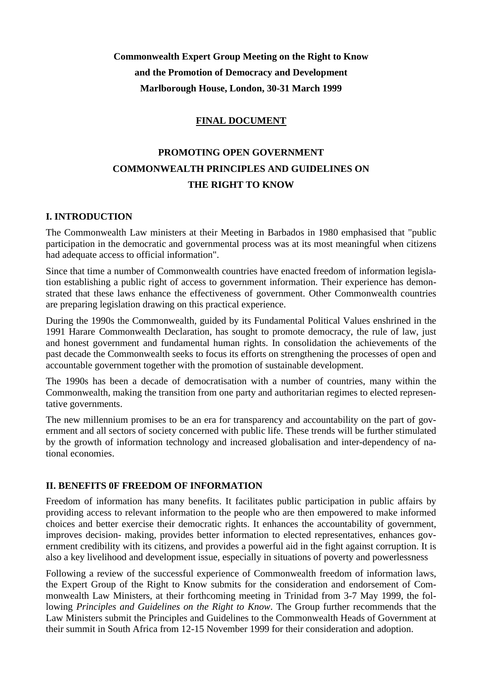**Commonwealth Expert Group Meeting on the Right to Know and the Promotion of Democracy and Development Marlborough House, London, 30-31 March 1999**

## **FINAL DOCUMENT**

# **PROMOTING OPEN GOVERNMENT COMMONWEALTH PRINCIPLES AND GUIDELINES ON THE RIGHT TO KNOW**

### **I. INTRODUCTION**

The Commonwealth Law ministers at their Meeting in Barbados in 1980 emphasised that "public participation in the democratic and governmental process was at its most meaningful when citizens had adequate access to official information".

Since that time a number of Commonwealth countries have enacted freedom of information legislation establishing a public right of access to government information. Their experience has demonstrated that these laws enhance the effectiveness of government. Other Commonwealth countries are preparing legislation drawing on this practical experience.

During the 1990s the Commonwealth, guided by its Fundamental Political Values enshrined in the 1991 Harare Commonwealth Declaration, has sought to promote democracy, the rule of law, just and honest government and fundamental human rights. In consolidation the achievements of the past decade the Commonwealth seeks to focus its efforts on strengthening the processes of open and accountable government together with the promotion of sustainable development.

The 1990s has been a decade of democratisation with a number of countries, many within the Commonwealth, making the transition from one party and authoritarian regimes to elected representative governments.

The new millennium promises to be an era for transparency and accountability on the part of government and all sectors of society concerned with public life. These trends will be further stimulated by the growth of information technology and increased globalisation and inter-dependency of national economies.

#### **II. BENEFITS 0F FREEDOM OF INFORMATION**

Freedom of information has many benefits. It facilitates public participation in public affairs by providing access to relevant information to the people who are then empowered to make informed choices and better exercise their democratic rights. It enhances the accountability of government, improves decision- making, provides better information to elected representatives, enhances government credibility with its citizens, and provides a powerful aid in the fight against corruption. It is also a key livelihood and development issue, especially in situations of poverty and powerlessness

Following a review of the successful experience of Commonwealth freedom of information laws, the Expert Group of the Right to Know submits for the consideration and endorsement of Commonwealth Law Ministers, at their forthcoming meeting in Trinidad from 3-7 May 1999, the following *Principles and Guidelines on the Right to Know*. The Group further recommends that the Law Ministers submit the Principles and Guidelines to the Commonwealth Heads of Government at their summit in South Africa from 12-15 November 1999 for their consideration and adoption.